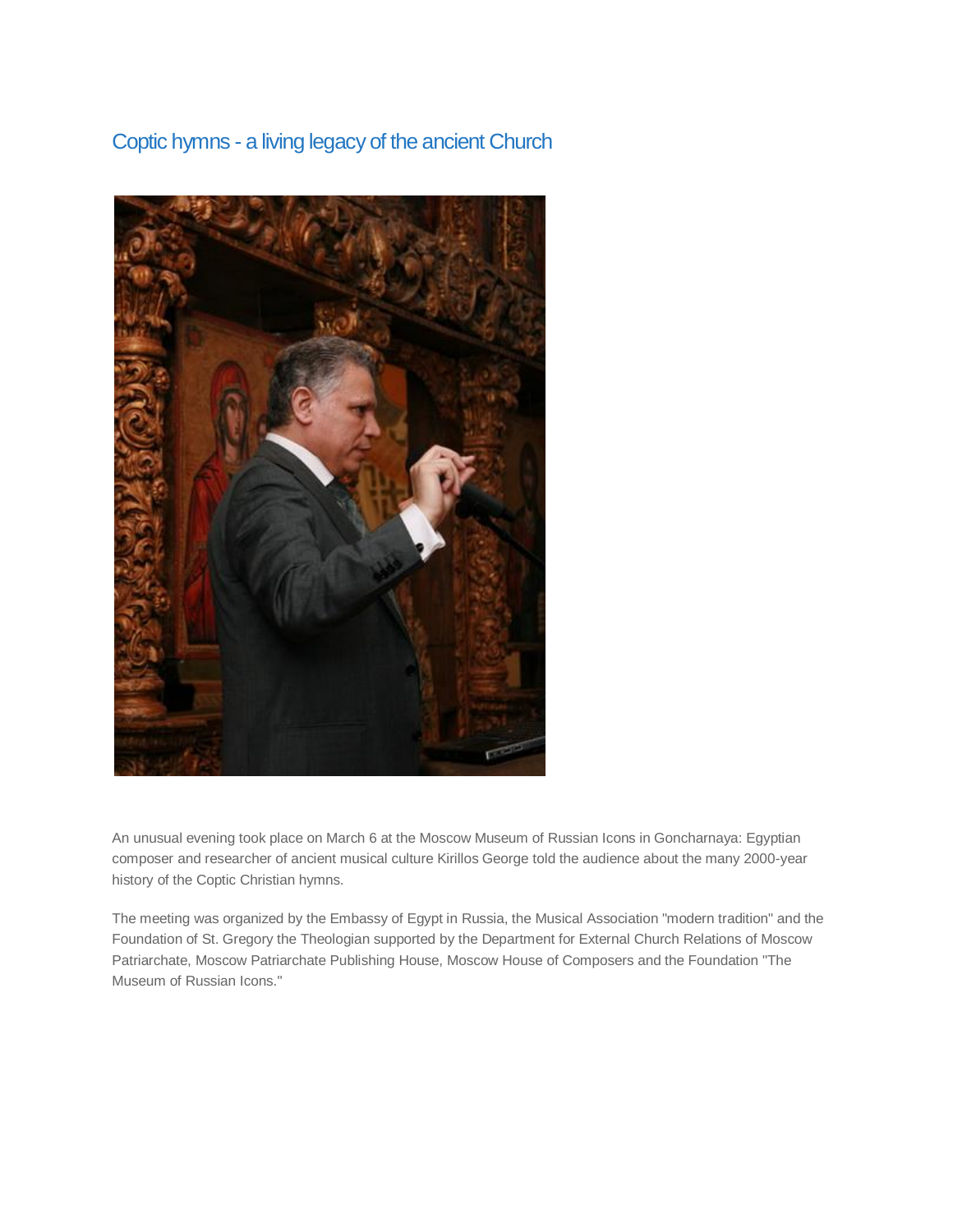Coptic hymns - [a living legacy of the ancient Church](http://simvol-veri.ru/xp/koptskie-gimni-%E2%80%94-jivoe-nasledie-drevneie-cerkvi.html)



An unusual evening took place on March 6 at the Moscow Museum of Russian Icons in Goncharnaya: Egyptian composer and researcher of ancient musical culture Kirillos George told the audience about the many 2000-year history of the Coptic Christian hymns.

The meeting was organized by the Embassy of Egypt in Russia, the Musical Association "modern tradition" and the Foundation of St. Gregory the Theologian supported by the Department for External Church Relations of Moscow Patriarchate, Moscow Patriarchate Publishing House, Moscow House of Composers and the Foundation "The Museum of Russian Icons."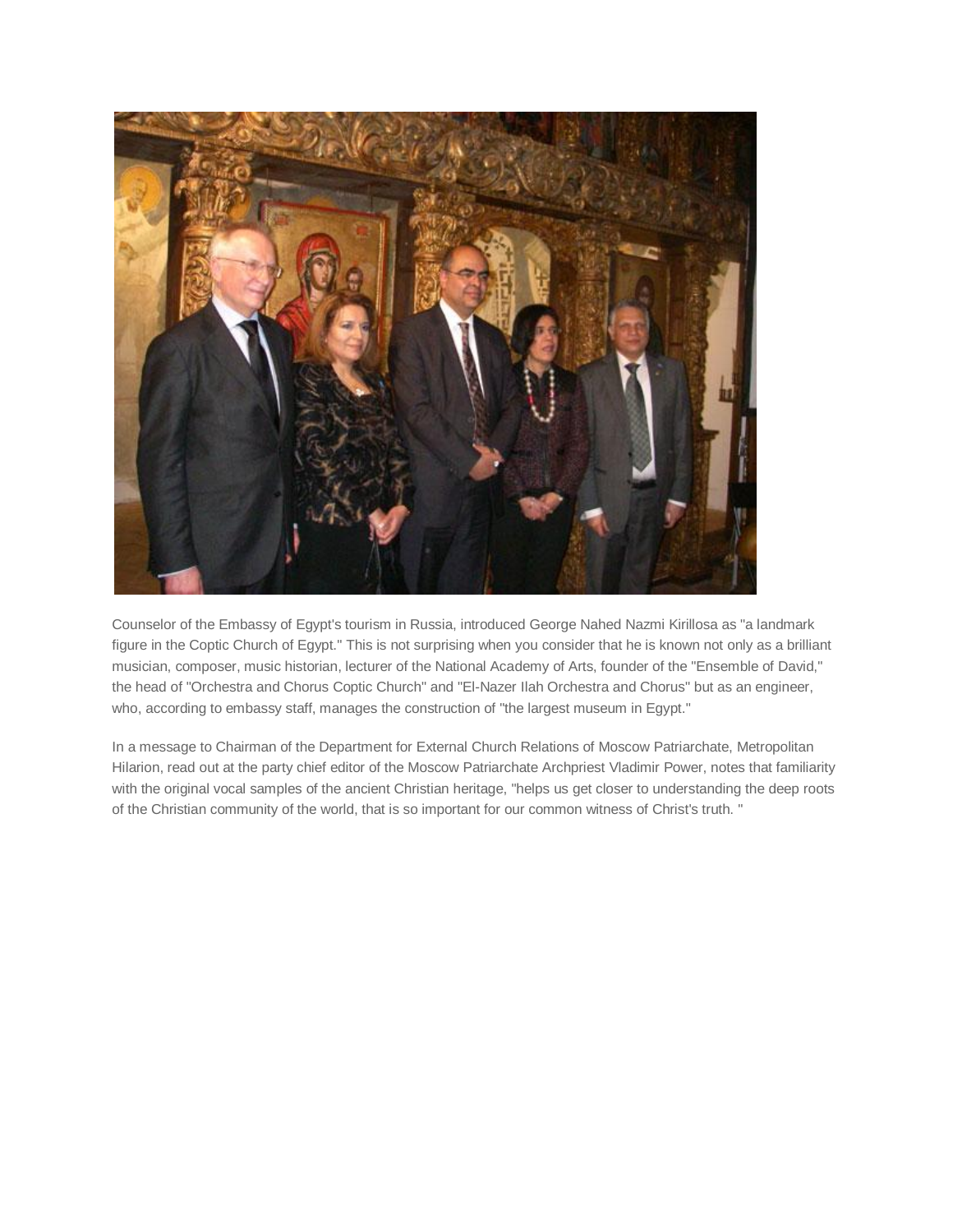

Counselor of the Embassy of Egypt's tourism in Russia, introduced George Nahed Nazmi Kirillosa as "a landmark figure in the Coptic Church of Egypt." This is not surprising when you consider that he is known not only as a brilliant musician, composer, music historian, lecturer of the National Academy of Arts, founder of the "Ensemble of David," the head of "Orchestra and Chorus Coptic Church" and "El-Nazer Ilah Orchestra and Chorus" but as an engineer, who, according to embassy staff, manages the construction of "the largest museum in Egypt."

In a message to Chairman of the Department for External Church Relations of Moscow Patriarchate, Metropolitan Hilarion, read out at the party chief editor of the Moscow Patriarchate Archpriest Vladimir Power, notes that familiarity with the original vocal samples of the ancient Christian heritage, "helps us get closer to understanding the deep roots of the Christian community of the world, that is so important for our common witness of Christ's truth. "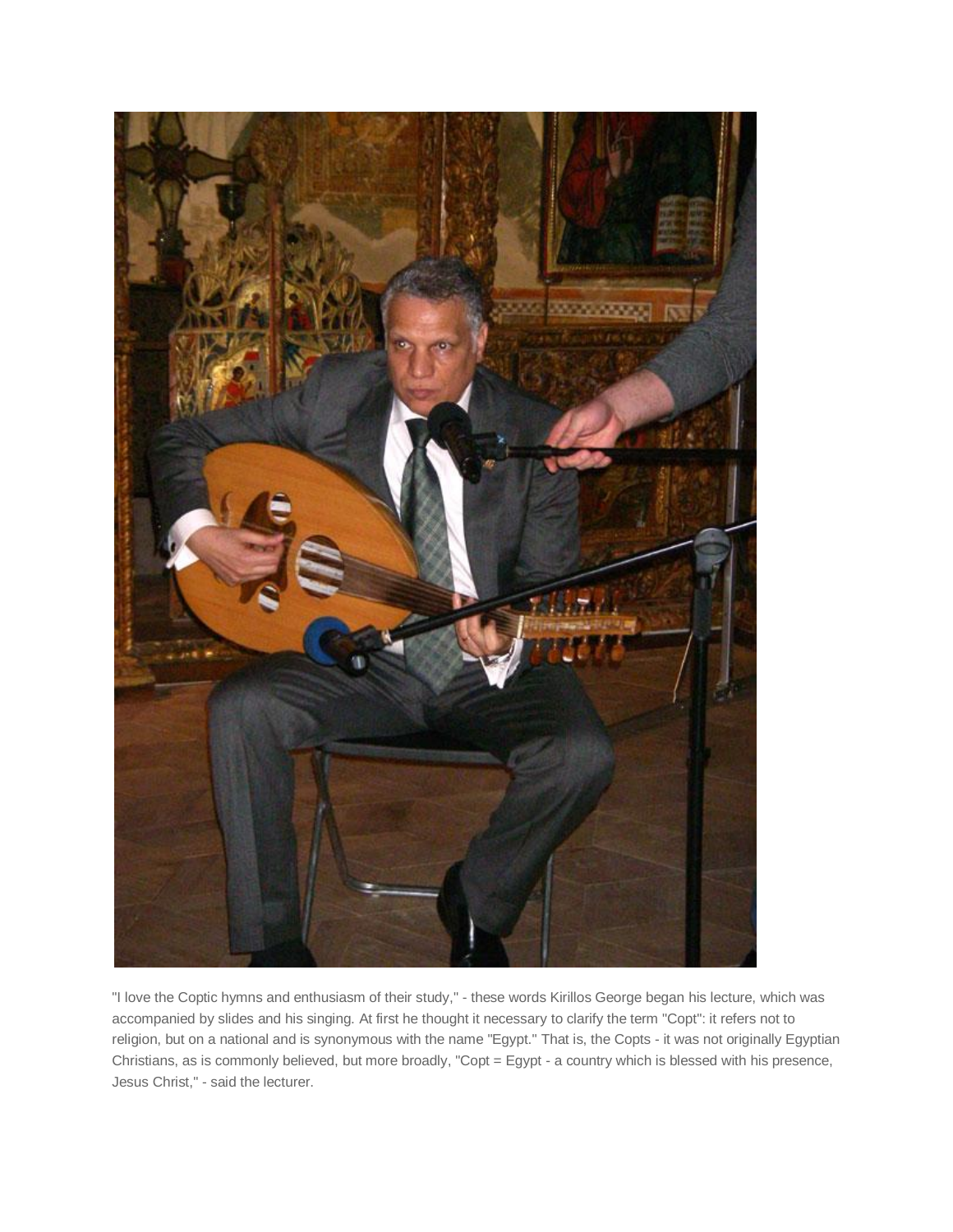

"I love the Coptic hymns and enthusiasm of their study," - these words Kirillos George began his lecture, which was accompanied by slides and his singing. At first he thought it necessary to clarify the term "Copt": it refers not to religion, but on a national and is synonymous with the name "Egypt." That is, the Copts - it was not originally Egyptian Christians, as is commonly believed, but more broadly, "Copt = Egypt - a country which is blessed with his presence, Jesus Christ," - said the lecturer.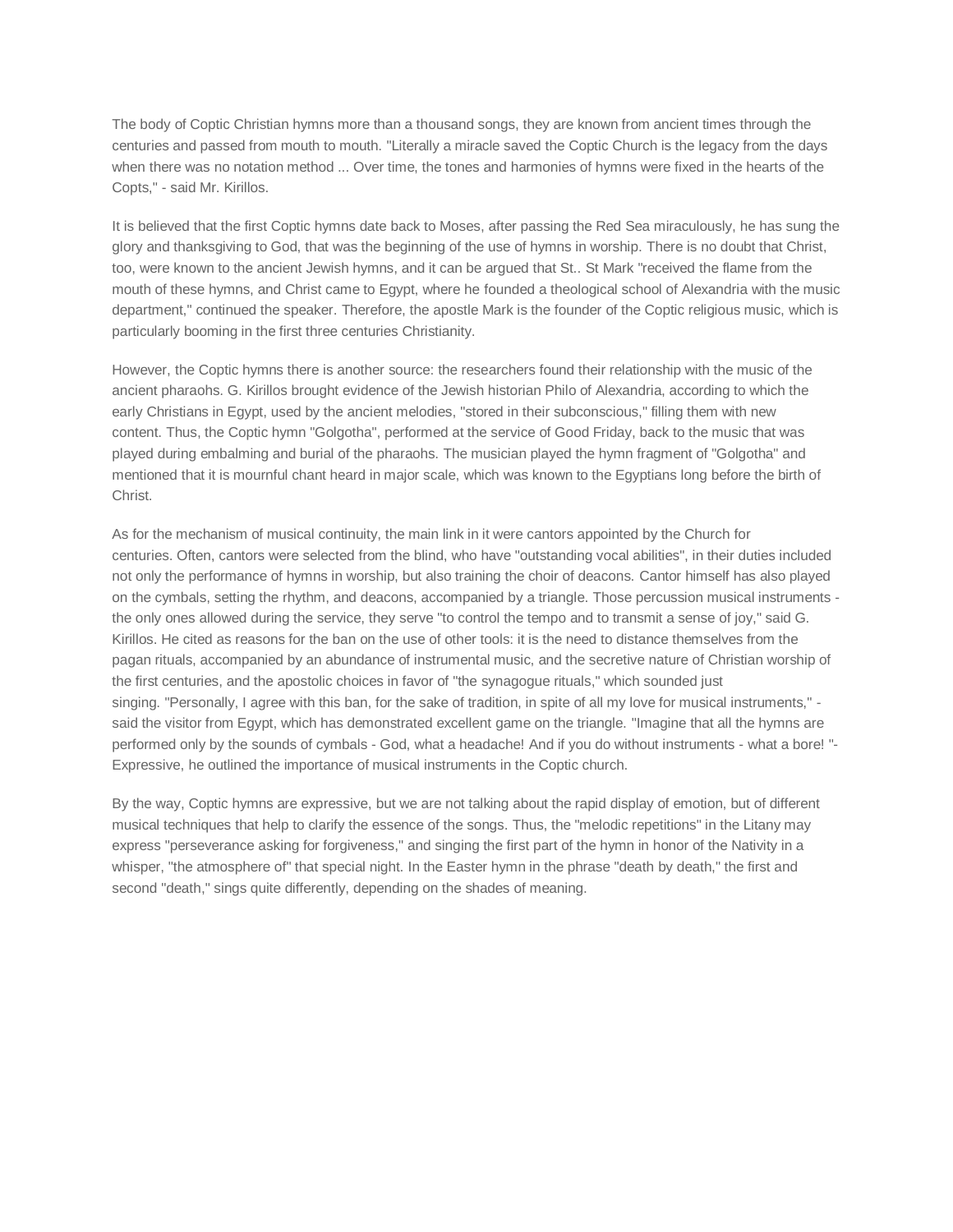The body of Coptic Christian hymns more than a thousand songs, they are known from ancient times through the centuries and passed from mouth to mouth. "Literally a miracle saved the Coptic Church is the legacy from the days when there was no notation method ... Over time, the tones and harmonies of hymns were fixed in the hearts of the Copts," - said Mr. Kirillos.

It is believed that the first Coptic hymns date back to Moses, after passing the Red Sea miraculously, he has sung the glory and thanksgiving to God, that was the beginning of the use of hymns in worship. There is no doubt that Christ, too, were known to the ancient Jewish hymns, and it can be argued that St.. St Mark "received the flame from the mouth of these hymns, and Christ came to Egypt, where he founded a theological school of Alexandria with the music department," continued the speaker. Therefore, the apostle Mark is the founder of the Coptic religious music, which is particularly booming in the first three centuries Christianity.

However, the Coptic hymns there is another source: the researchers found their relationship with the music of the ancient pharaohs. G. Kirillos brought evidence of the Jewish historian Philo of Alexandria, according to which the early Christians in Egypt, used by the ancient melodies, "stored in their subconscious," filling them with new content. Thus, the Coptic hymn "Golgotha", performed at the service of Good Friday, back to the music that was played during embalming and burial of the pharaohs. The musician played the hymn fragment of "Golgotha" and mentioned that it is mournful chant heard in major scale, which was known to the Egyptians long before the birth of Christ.

As for the mechanism of musical continuity, the main link in it were cantors appointed by the Church for centuries. Often, cantors were selected from the blind, who have "outstanding vocal abilities", in their duties included not only the performance of hymns in worship, but also training the choir of deacons. Cantor himself has also played on the cymbals, setting the rhythm, and deacons, accompanied by a triangle. Those percussion musical instruments the only ones allowed during the service, they serve "to control the tempo and to transmit a sense of joy," said G. Kirillos. He cited as reasons for the ban on the use of other tools: it is the need to distance themselves from the pagan rituals, accompanied by an abundance of instrumental music, and the secretive nature of Christian worship of the first centuries, and the apostolic choices in favor of "the synagogue rituals," which sounded just singing. "Personally, I agree with this ban, for the sake of tradition, in spite of all my love for musical instruments," said the visitor from Egypt, which has demonstrated excellent game on the triangle. "Imagine that all the hymns are performed only by the sounds of cymbals - God, what a headache! And if you do without instruments - what a bore! "- Expressive, he outlined the importance of musical instruments in the Coptic church.

By the way, Coptic hymns are expressive, but we are not talking about the rapid display of emotion, but of different musical techniques that help to clarify the essence of the songs. Thus, the "melodic repetitions" in the Litany may express "perseverance asking for forgiveness," and singing the first part of the hymn in honor of the Nativity in a whisper, "the atmosphere of" that special night. In the Easter hymn in the phrase "death by death," the first and second "death," sings quite differently, depending on the shades of meaning.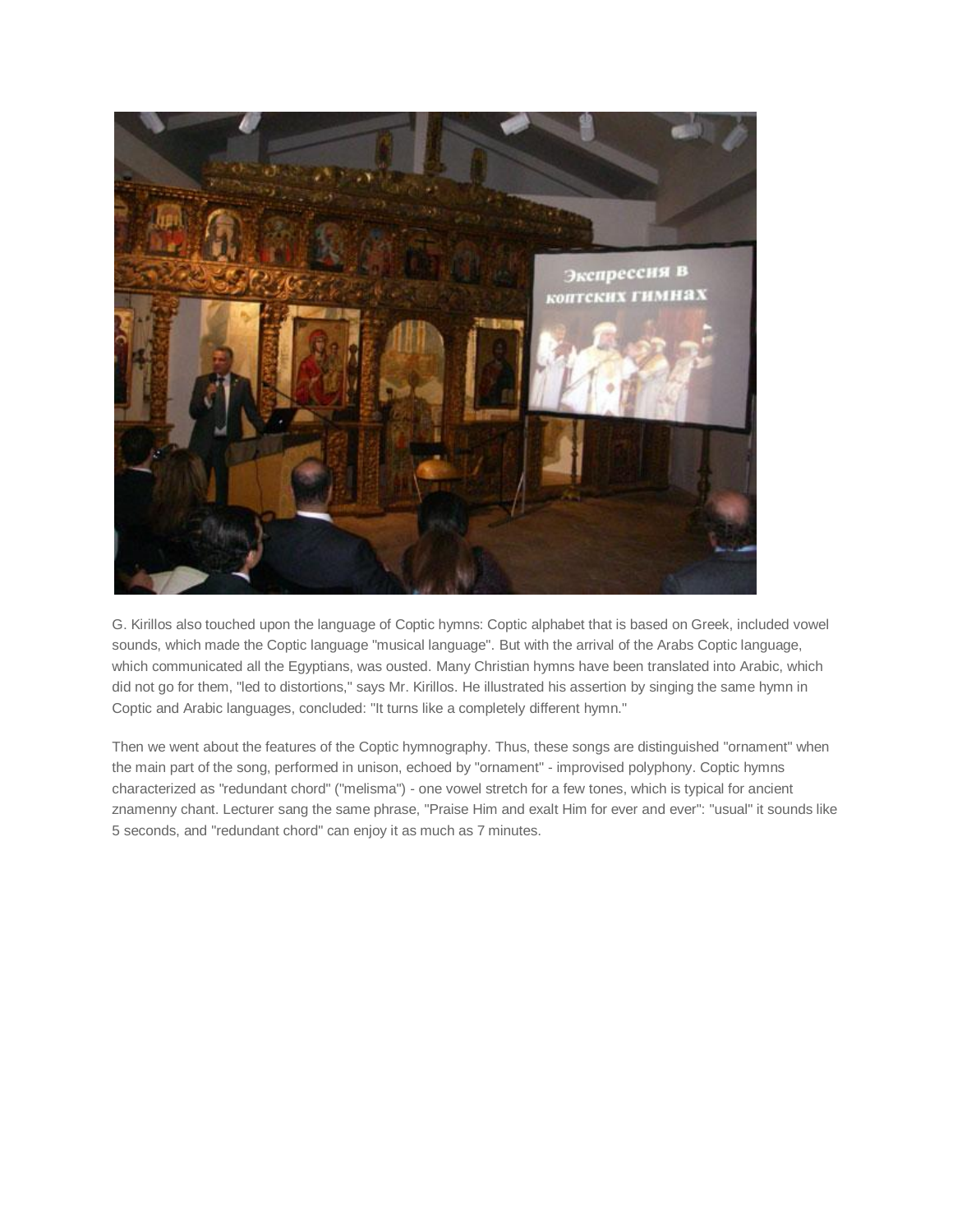

G. Kirillos also touched upon the language of Coptic hymns: Coptic alphabet that is based on Greek, included vowel sounds, which made the Coptic language "musical language". But with the arrival of the Arabs Coptic language, which communicated all the Egyptians, was ousted. Many Christian hymns have been translated into Arabic, which did not go for them, "led to distortions," says Mr. Kirillos. He illustrated his assertion by singing the same hymn in Coptic and Arabic languages, concluded: "It turns like a completely different hymn."

Then we went about the features of the Coptic hymnography. Thus, these songs are distinguished "ornament" when the main part of the song, performed in unison, echoed by "ornament" - improvised polyphony. Coptic hymns characterized as "redundant chord" ("melisma") - one vowel stretch for a few tones, which is typical for ancient znamenny chant. Lecturer sang the same phrase, "Praise Him and exalt Him for ever and ever": "usual" it sounds like 5 seconds, and "redundant chord" can enjoy it as much as 7 minutes.